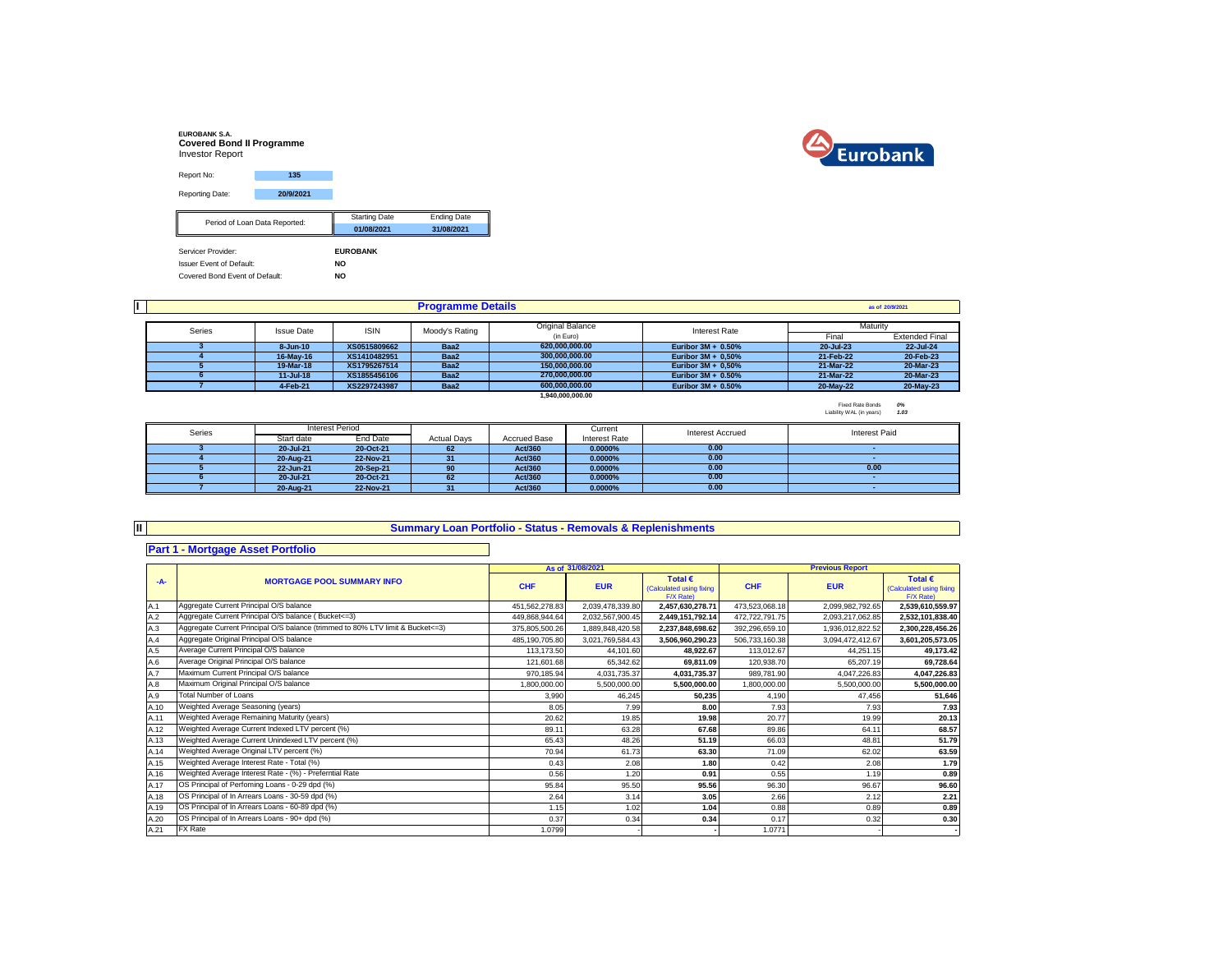| <b>EUROBANK S.A.</b><br><b>Covered Bond II Programme</b><br><b>Investor Report</b> |                               |                      |                    |
|------------------------------------------------------------------------------------|-------------------------------|----------------------|--------------------|
| Report No:                                                                         | 135                           |                      |                    |
| <b>Reporting Date:</b>                                                             | 20/9/2021                     |                      |                    |
|                                                                                    | Period of Loan Data Reported: | <b>Starting Date</b> | <b>Ending Date</b> |
|                                                                                    |                               | 01/08/2021           | 31/08/2021         |
| Servicer Provider:                                                                 |                               | <b>EUROBANK</b>      |                    |
| <b>Issuer Event of Default:</b>                                                    |                               | <b>NO</b>            |                    |
| Covered Bond Event of Default:                                                     |                               | <b>NO</b>            |                    |



|        | <b>Programme Details</b> |              |                |                  |                       |           |                       |  |
|--------|--------------------------|--------------|----------------|------------------|-----------------------|-----------|-----------------------|--|
|        |                          |              |                |                  |                       |           |                       |  |
| Series | <b>Issue Date</b>        | <b>ISIN</b>  | Moody's Rating | Original Balance | <b>Interest Rate</b>  | Maturity  |                       |  |
|        |                          |              |                | (in Euro)        |                       | Final     | <b>Extended Final</b> |  |
|        | $8 - Jun-10$             | XS0515809662 | Baa2           | 620.000.000.00   | Euribor $3M + 0.50%$  | 20-Jul-23 | 22-Jul-24             |  |
|        | 16-May-16                | XS1410482951 | Baa2           | 300.000.000.00   | Euribor $3M + 0.50\%$ | 21-Feb-22 | 20-Feb-23             |  |
|        | 19-Mar-18                | XS1795267514 | Baa2           | 150.000.000.00   | Euribor $3M + 0.50\%$ | 21-Mar-22 | 20-Mar-23             |  |
|        | $11 -$ Jul-18            | XS1855456106 | Baa2           | 270.000.000.00   | Euribor $3M + 0.50\%$ | 21-Mar-22 | 20-Mar-23             |  |
|        | 4-Feb-21                 | XS2297243987 | Baa2           | 600.000.000.00   | Euribor $3M + 0.50%$  | 20-May-22 | 20-May-23             |  |
|        |                          |              |                | 1.940.000.000.00 |                       |           |                       |  |

Fixed Rate Bonds *0%* Liability WAL (in years) *1.03*

| Series | Interest Period |           |                    |                     | Current              | <b>Interest Accrued</b> | Interest Paid |  |
|--------|-----------------|-----------|--------------------|---------------------|----------------------|-------------------------|---------------|--|
|        | Start date      | End Date  | <b>Actual Davs</b> | <b>Accrued Base</b> | <b>Interest Rate</b> |                         |               |  |
|        | 20-Jul-21       | 20-Oct-21 | 62                 | Act/360             | $0.0000\%$           | 0.00                    |               |  |
|        | 20-Aug-21       | 22-Nov-21 | 31                 | Act/360             | $0.0000\%$           | 0.00                    |               |  |
|        | 22-Jun-21       | 20-Sep-21 | 90                 | Act/360             | $0.0000\%$           | 0.00                    | 0.00          |  |
|        | 20-Jul-21       | 20-Oct-21 | 62                 | Act/360             | $0.0000\%$           | 0.00                    |               |  |
|        | 20-Aug-21       | 22-Nov-21 |                    | Act/360             | 0.0000%              | 0.00                    |               |  |
|        |                 |           |                    |                     |                      |                         |               |  |

**II**

## **Summary Loan Portfolio - Status - Removals & Replenishments**

## **Part 1 - Mortgage Asset Portfolio**

|       |                                                                                |                | As of 31/08/2021 |                                                           | <b>Previous Report</b> |                  |                                                           |
|-------|--------------------------------------------------------------------------------|----------------|------------------|-----------------------------------------------------------|------------------------|------------------|-----------------------------------------------------------|
| $-A-$ | <b>MORTGAGE POOL SUMMARY INFO</b>                                              | <b>CHF</b>     | <b>EUR</b>       | Total $\epsilon$<br>(Calculated using fixing<br>F/X Rate) | <b>CHF</b>             | <b>EUR</b>       | Total $\epsilon$<br>(Calculated using fixing<br>F/X Rate) |
| A.1   | Aggregate Current Principal O/S balance                                        | 451,562,278.83 | 2,039,478,339.80 | 2,457,630,278.71                                          | 473,523,068.18         | 2.099.982.792.65 | 2,539,610,559.97                                          |
| A.2   | Aggregate Current Principal O/S balance (Bucket<=3)                            | 449,868,944.64 | 2,032,567,900.45 | 2,449,151,792.14                                          | 472,722,791.75         | 2,093,217,062.85 | 2,532,101,838.40                                          |
| A.3   | Aggregate Current Principal O/S balance (trimmed to 80% LTV limit & Bucket<=3) | 375,805,500.26 | ,889,848,420.58  | 2,237,848,698.62                                          | 392,296,659.10         | 1,936,012,822.52 | 2,300,228,456.26                                          |
| A.4   | Aggregate Original Principal O/S balance                                       | 485,190,705.80 | 3,021,769,584.43 | 3,506,960,290.23                                          | 506,733,160.38         | 3,094,472,412.67 | 3,601,205,573.05                                          |
| A.5   | Average Current Principal O/S balance                                          | 113,173.50     | 44,101.60        | 48,922.67                                                 | 113,012.67             | 44,251.15        | 49,173.42                                                 |
| A.6   | Average Original Principal O/S balance                                         | 121,601.68     | 65,342.62        | 69,811.09                                                 | 120,938.70             | 65,207.19        | 69,728.64                                                 |
| A.7   | Maximum Current Principal O/S balance                                          | 970.185.94     | 4,031,735.37     | 4,031,735.37                                              | 989,781.90             | 4,047,226.83     | 4,047,226.83                                              |
| A.8   | Maximum Original Principal O/S balance                                         | 1,800,000.00   | 5,500,000.00     | 5,500,000.00                                              | 1,800,000.00           | 5,500,000.00     | 5,500,000.00                                              |
| A.9   | <b>Total Number of Loans</b>                                                   | 3,990          | 46,245           | 50,235                                                    | 4,190                  | 47.456           | 51,646                                                    |
| A.10  | Weighted Average Seasoning (years)                                             | 8.05           | 7.99             | 8.00                                                      | 7.93                   | 7.93             | 7.93                                                      |
| A.11  | Weighted Average Remaining Maturity (years)                                    | 20.62          | 19.85            | 19.98                                                     | 20.77                  | 19.99            | 20.13                                                     |
| A.12  | Weighted Average Current Indexed LTV percent (%)                               | 89.11          | 63.28            | 67.68                                                     | 89.86                  | 64.11            | 68.57                                                     |
| A.13  | Weighted Average Current Unindexed LTV percent (%)                             | 65.43          | 48.26            | 51.19                                                     | 66.03                  | 48.81            | 51.79                                                     |
| A.14  | Weighted Average Original LTV percent (%)                                      | 70.94          | 61.73            | 63.30                                                     | 71.09                  | 62.02            | 63.59                                                     |
| A.15  | Weighted Average Interest Rate - Total (%)                                     | 0.43           | 2.08             | 1.80                                                      | 0.42                   | 2.08             | 1.79                                                      |
| A.16  | Weighted Average Interest Rate - (%) - Preferntial Rate                        | 0.56           | 1.20             | 0.91                                                      | 0.55                   | 1.19             | 0.89                                                      |
| A.17  | OS Principal of Perfoming Loans - 0-29 dpd (%)                                 | 95.84          | 95.50            | 95.56                                                     | 96.30                  | 96.67            | 96.60                                                     |
| A.18  | OS Principal of In Arrears Loans - 30-59 dpd (%)                               | 2.64           | 3.14             | 3.05                                                      | 2.66                   | 2.12             | 2.21                                                      |
| A.19  | OS Principal of In Arrears Loans - 60-89 dpd (%)                               | 1.15           | 1.02             | 1.04                                                      | 0.88                   | 0.89             | 0.89                                                      |
| A.20  | OS Principal of In Arrears Loans - 90+ dpd (%)                                 | 0.37           | 0.34             | 0.34                                                      | 0.17                   | 0.32             | 0.30                                                      |
| A.21  | FX Rate                                                                        | 1.0799         |                  |                                                           | 1.0771                 |                  |                                                           |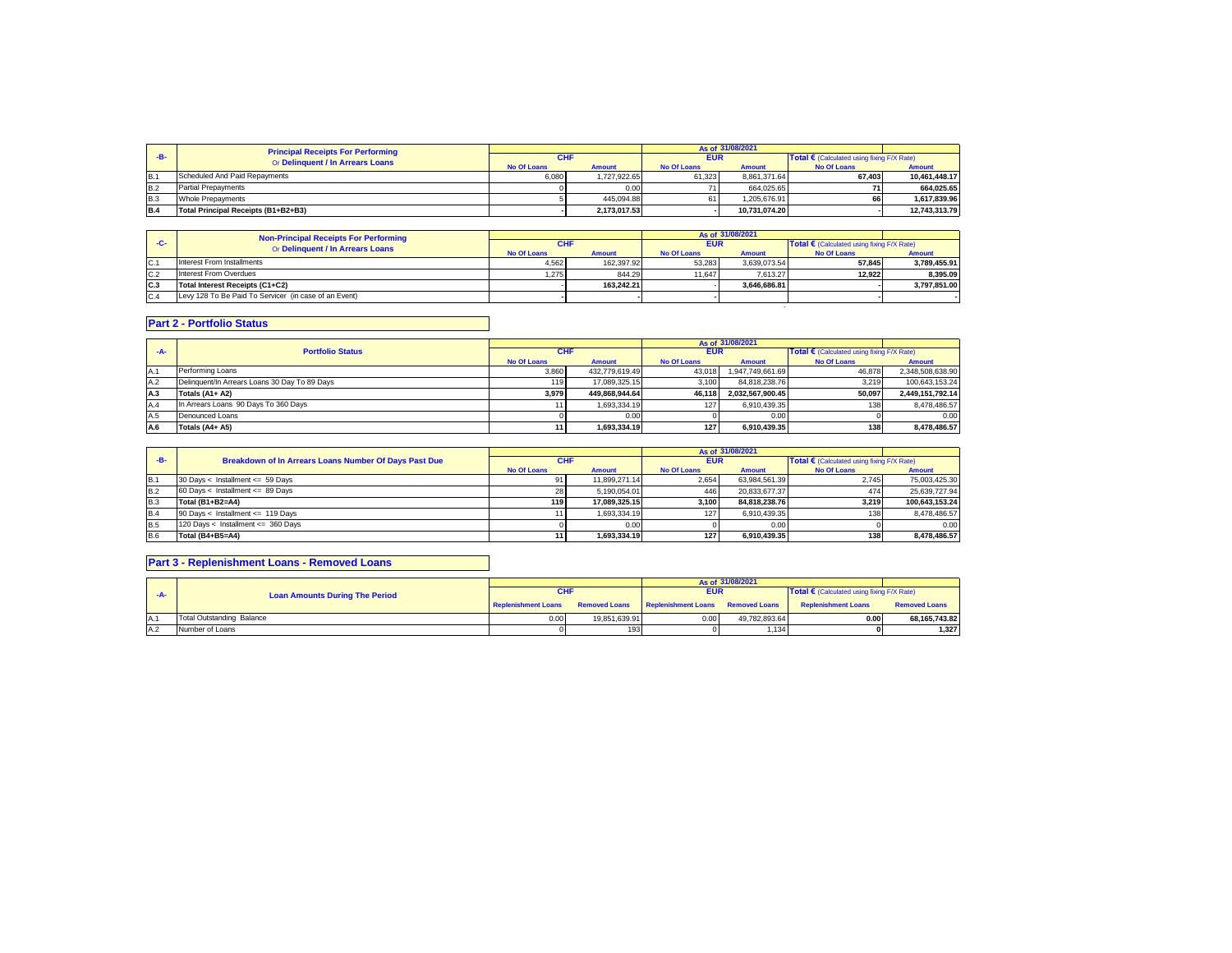|            | <b>Principal Receipts For Performing</b><br>Or Delinquent / In Arrears Loans | As of 31/08/2021   |               |                    |               |                                                     |               |
|------------|------------------------------------------------------------------------------|--------------------|---------------|--------------------|---------------|-----------------------------------------------------|---------------|
|            |                                                                              |                    |               | <b>EUR</b>         |               | Total $\epsilon$ (Calculated using fixing F/X Rate) |               |
|            |                                                                              | <b>No Of Loans</b> | <b>Amount</b> | <b>No Of Loans</b> | <b>Amount</b> | <b>No Of Loans</b>                                  | <b>Amount</b> |
| IB.        | Scheduled And Paid Repayments                                                | 6.080              | 1.727.922.65  | 61.323             | 8.861.371.64  | 67.403                                              | 10.461.448.17 |
| <b>B.2</b> | <b>Partial Prepayments</b>                                                   |                    | 0.00          |                    | 664.025.65    |                                                     | 664.025.65    |
| <b>B.3</b> | Whole Prepayments                                                            |                    | 445.094.88    | 61                 | 1.205.676.91  | 66                                                  | 1.617.839.96  |
| <b>B.4</b> | Total Principal Receipts (B1+B2+B3)                                          |                    | 2.173.017.53  |                    | 10.731.074.20 |                                                     | 12.743.313.79 |

|     | <b>Non-Principal Receipts For Performing</b><br>Or Delinquent / In Arrears Loans |                    |               |                    | As of 31/08/2021 |                                            |               |
|-----|----------------------------------------------------------------------------------|--------------------|---------------|--------------------|------------------|--------------------------------------------|---------------|
| -C- |                                                                                  | <b>CHF</b>         |               | <b>EUR</b>         |                  | Total € (Calculated using fixing F/X Rate) |               |
|     |                                                                                  | <b>No Of Loans</b> | <b>Amount</b> | <b>No Of Loans</b> | <b>Amount</b>    | <b>No Of Loans</b>                         | <b>Amount</b> |
| C.1 | Interest From Installments                                                       | 4.562              | 162.397.92    | 53.283             | 3.639.073.54     | 57.845                                     | 3.789.455.91  |
| C.2 | Interest From Overdues                                                           | 1.275              | 844.29        | 11.647             | 7.613.27         | 12.922                                     | 8.395.09      |
| C.3 | Total Interest Receipts (C1+C2)                                                  |                    | 163.242.21    |                    | 3.646.686.81     |                                            | 3.797.851.00  |
| C.4 | Levy 128 To Be Paid To Servicer (in case of an Event)                            |                    |               |                    |                  |                                            |               |
|     |                                                                                  |                    |               |                    |                  |                                            |               |

## **Part 2 - Portfolio Status**

| -А- | <b>Portfolio Status</b>                       | <b>CHF</b>         |                | <b>EUR</b>         |                  | Total $\epsilon$ (Calculated using fixing F/X Rate) |                  |
|-----|-----------------------------------------------|--------------------|----------------|--------------------|------------------|-----------------------------------------------------|------------------|
|     |                                               | <b>No Of Loans</b> | <b>Amount</b>  | <b>No Of Loans</b> | <b>Amount</b>    | <b>No Of Loans</b>                                  | <b>Amount</b>    |
| A.1 | Performing Loans                              | 3.860              | 432.779.619.49 | 43.018             | 1.947.749.661.69 | 46.878                                              | 2,348,508,638.90 |
| A.2 | Delinquent/In Arrears Loans 30 Day To 89 Days | 119                | 17.089.325.15  | 3.100              | 84.818.238.76    | 3.219                                               | 100.643.153.24   |
| A.3 | Totals (A1+ A2)                               | 3.979              | 449.868.944.64 | 46.118             | 2.032.567.900.45 | 50.097                                              | 2.449.151.792.14 |
| A.4 | In Arrears Loans 90 Days To 360 Days          |                    | 1.693.334.19   | 127                | 6.910.439.35     | 138                                                 | 8.478.486.57     |
| A.5 | Denounced Loans                               |                    | 0.00           |                    | 0.00             |                                                     | 0.00             |
| A.6 | Totals (A4+ A5)                               |                    | 1.693.334.19   | 127                | 6.910.439.35     | 138                                                 | 8.478.486.57     |

|            |                                                       |                    |               | As of 31/08/2021   |               |                                                     |                |
|------------|-------------------------------------------------------|--------------------|---------------|--------------------|---------------|-----------------------------------------------------|----------------|
| $-B-$      | Breakdown of In Arrears Loans Number Of Days Past Due | <b>CHF</b>         |               | EUR                |               | Total $\epsilon$ (Calculated using fixing F/X Rate) |                |
|            |                                                       | <b>No Of Loans</b> | <b>Amount</b> | <b>No Of Loans</b> | <b>Amount</b> | <b>No Of Loans</b>                                  | <b>Amount</b>  |
| IB.1       | 30 Days < Installment <= 59 Days                      |                    | 11.899.271.14 | 2.654              | 63.984.561.39 | 2.745                                               | 75.003.425.30  |
| <b>B.2</b> | 60 Days < Installment <= 89 Days                      | 28                 | 5.190.054.01  | 446                | 20.833.677.37 | 474                                                 | 25.639.727.94  |
| B.3        | Total (B1+B2=A4)                                      | 119                | 17.089.325.15 | 3.100              | 84.818.238.76 | 3,219                                               | 100.643.153.24 |
| B.4        | 90 Days < Installment <= 119 Days                     |                    | 1.693.334.19  | 127                | 6.910.439.35  | 138                                                 | 8.478.486.57   |
| <b>B.5</b> | 120 Days < Installment <= 360 Days                    |                    | 0.00          |                    | 0.00          |                                                     | 0.00           |
| B.6        | Total (B4+B5=A4)                                      |                    | 1.693.334.19  | 127                | 6.910.439.35  | 138                                                 | 8.478.486.57   |

## **Part 3 - Replenishment Loans - Removed Loans**

|      |                                       |                            |               |                                                 | $A \leq 0.65$ 31/08/2021 |                                                     |                      |
|------|---------------------------------------|----------------------------|---------------|-------------------------------------------------|--------------------------|-----------------------------------------------------|----------------------|
|      | <b>Loan Amounts During The Period</b> |                            |               | EUR                                             |                          | Total $\epsilon$ (Calculated using fixing F/X Rate) |                      |
|      |                                       | <b>Replenishment Loans</b> |               | Removed Loans Replenishment Loans Removed Loans |                          | <b>Replenishment Loans</b>                          | <b>Removed Loans</b> |
| IA.1 | Total Outstanding Balance             | 0.00                       | 19.851.639.91 | 0.00                                            | 49.782.893.64            | 0.00                                                | 68.165.743.82        |
| A.2  | Number of Loans                       |                            | 193           |                                                 | 1.134                    |                                                     | 1,327                |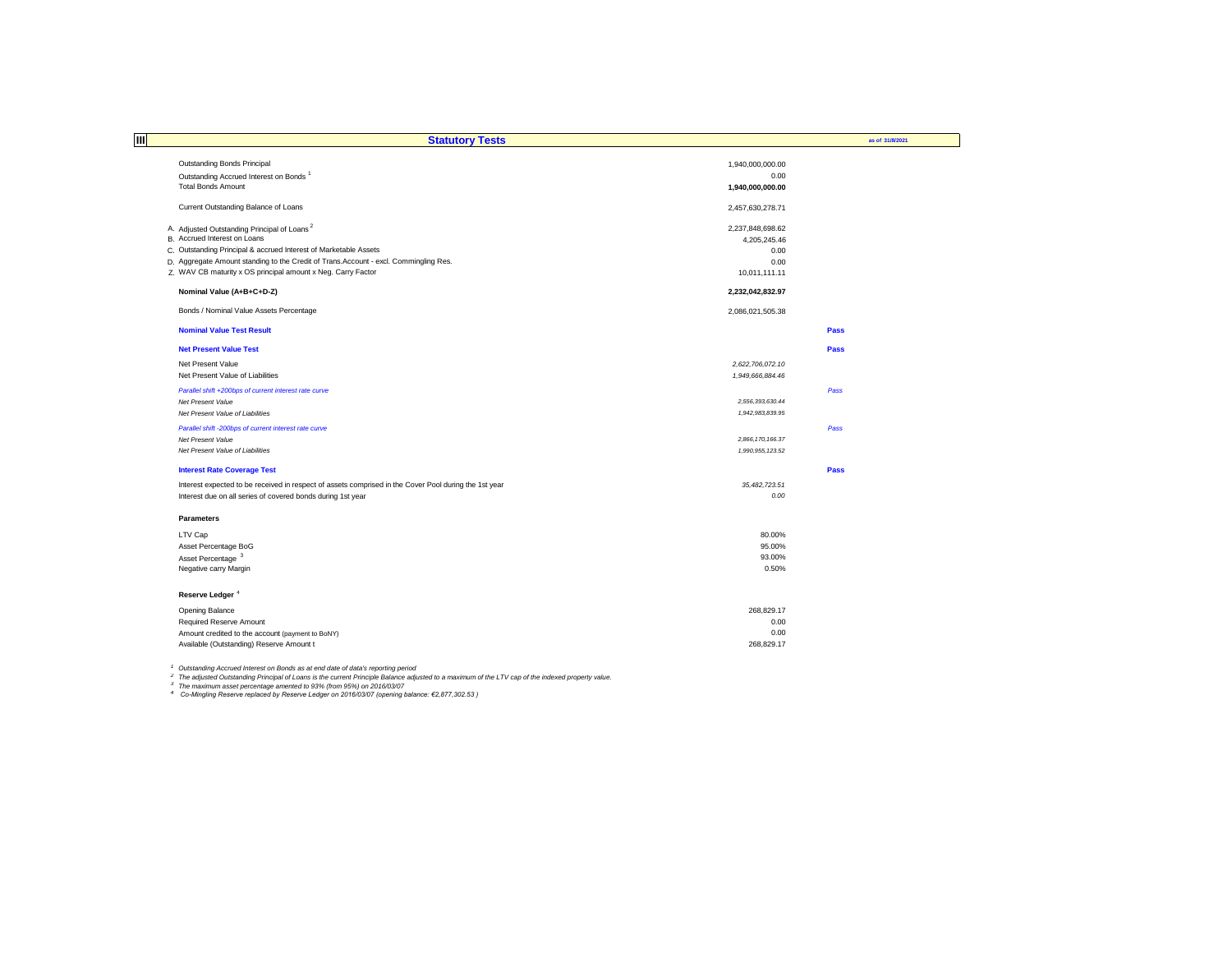| ПI                | <b>Statutory Tests</b>                                                                                |                  | as of 31/8/2021 |
|-------------------|-------------------------------------------------------------------------------------------------------|------------------|-----------------|
|                   |                                                                                                       |                  |                 |
|                   | Outstanding Bonds Principal                                                                           | 1,940,000,000.00 |                 |
|                   | Outstanding Accrued Interest on Bonds <sup>1</sup>                                                    | 0.00             |                 |
|                   | <b>Total Bonds Amount</b>                                                                             | 1,940,000,000.00 |                 |
|                   | Current Outstanding Balance of Loans                                                                  | 2,457,630,278.71 |                 |
|                   | A. Adjusted Outstanding Principal of Loans <sup>2</sup>                                               | 2,237,848,698.62 |                 |
|                   | B. Accrued Interest on Loans                                                                          | 4,205,245.46     |                 |
|                   | C. Outstanding Principal & accrued Interest of Marketable Assets                                      | 0.00             |                 |
|                   | D. Aggregate Amount standing to the Credit of Trans.Account - excl. Commingling Res.                  | 0.00             |                 |
|                   | Z. WAV CB maturity x OS principal amount x Neg. Carry Factor                                          | 10,011,111.11    |                 |
|                   | Nominal Value (A+B+C+D-Z)                                                                             | 2,232,042,832.97 |                 |
|                   | Bonds / Nominal Value Assets Percentage                                                               | 2,086,021,505.38 |                 |
|                   | <b>Nominal Value Test Result</b>                                                                      |                  | Pass            |
|                   | <b>Net Present Value Test</b>                                                                         |                  | Pass            |
|                   | Net Present Value                                                                                     | 2,622,706,072.10 |                 |
|                   | Net Present Value of Liabilities                                                                      | 1,949,666,884.46 |                 |
|                   | Parallel shift +200bps of current interest rate curve                                                 |                  | Pass            |
|                   | Net Present Value                                                                                     | 2,556,393,630.44 |                 |
|                   | Net Present Value of Liabilities                                                                      | 1.942.983.839.95 |                 |
|                   | Parallel shift -200bps of current interest rate curve                                                 |                  | Pass            |
|                   | Net Present Value                                                                                     | 2,866,170,166.37 |                 |
|                   | Net Present Value of Liabilities                                                                      | 1.990.955.123.52 |                 |
|                   | <b>Interest Rate Coverage Test</b>                                                                    |                  | Pass            |
|                   | Interest expected to be received in respect of assets comprised in the Cover Pool during the 1st year | 35,482,723.51    |                 |
|                   | Interest due on all series of covered bonds during 1st year                                           | 0.00             |                 |
| <b>Parameters</b> |                                                                                                       |                  |                 |
| LTV Cap           |                                                                                                       | 80.00%           |                 |
|                   | Asset Percentage BoG                                                                                  | 95.00%           |                 |
|                   | Asset Percentage <sup>3</sup>                                                                         | 93.00%           |                 |
|                   | Negative carry Margin                                                                                 | 0.50%            |                 |
|                   |                                                                                                       |                  |                 |
|                   | Reserve Ledger <sup>4</sup>                                                                           |                  |                 |
|                   | Opening Balance                                                                                       | 268.829.17       |                 |
|                   | Required Reserve Amount                                                                               | 0.00             |                 |
|                   | Amount credited to the account (payment to BoNY)                                                      | 0.00             |                 |
|                   | Available (Outstanding) Reserve Amount t                                                              | 268,829.17       |                 |
|                   |                                                                                                       |                  |                 |

<sup>1</sup> Outstanding Accrued Interest on Bonds as at end date of data's reporting period<br><sup>2</sup> The adjusted Outstanding Principal of Loans is the current Principle Balance adjusted to a maximum of the LTV cap of the indexed prope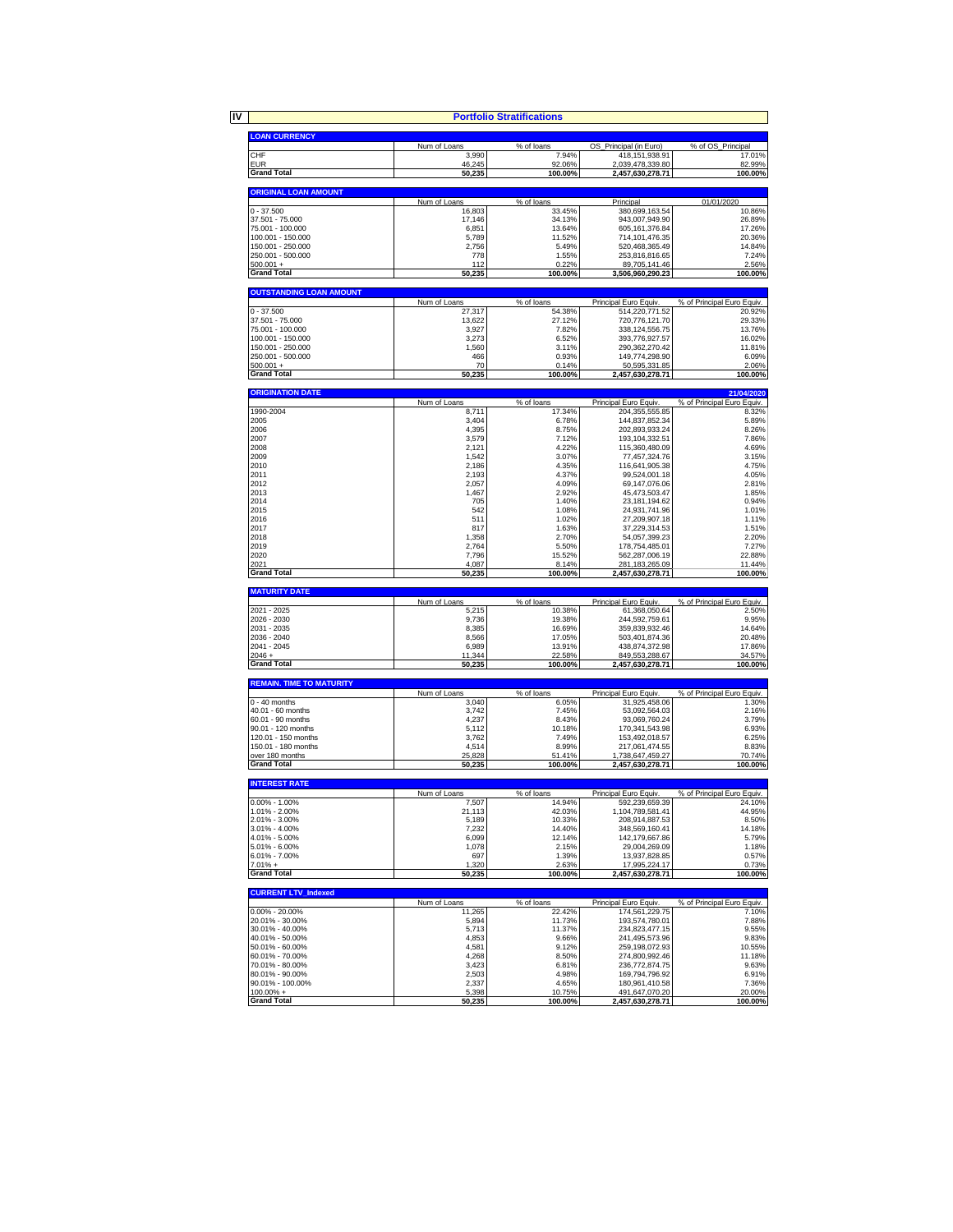|  | <b>Dortfolio</b> S |  |
|--|--------------------|--|

|                                         |                       | <b>Portfolio Stratifications</b> |                                         |                                      |
|-----------------------------------------|-----------------------|----------------------------------|-----------------------------------------|--------------------------------------|
|                                         |                       |                                  |                                         |                                      |
| <b>LOAN CURRENCY</b>                    |                       |                                  |                                         |                                      |
| CHF                                     | Num of Loans<br>3,990 | % of loans<br>7.94%              | OS_Principal (in Euro)                  | % of OS_Principal<br>17.01%          |
| EUR                                     | 46,245                | 92.06%                           | 418,151,938.91<br>2,039,478,339.80      | 82.99%                               |
| <b>Grand Total</b>                      | 50,235                | 100.00%                          | 2,457,630,278.71                        | 100.00%                              |
|                                         |                       |                                  |                                         |                                      |
| <b>ORIGINAL LOAN AMOUNT</b>             |                       |                                  |                                         |                                      |
|                                         | Num of Loans          | % of loans                       | Principal                               | 01/01/2020                           |
| $0 - 37.500$                            | 16,803                | 33.45%                           | 380,699,163.54                          | 10.86%                               |
| 37.501 - 75.000                         | 17,146                | 34.13%                           | 943,007,949.90                          | 26.89%                               |
| 75.001 - 100.000                        | 6,851                 | 13.64%                           | 605,161,376.84                          | 17.26%                               |
| 100.001 - 150.000<br>150.001 - 250.000  | 5,789                 | 11.52%                           | 714,101,476.35                          | 20.36%                               |
| 250.001 - 500.000                       | 2,756<br>778          | 5.49%<br>1.55%                   | 520,468,365.49<br>253,816,816.65        | 14.84%<br>7.24%                      |
| $500.001 +$                             | 112                   | 0.22%                            | 89,705,141.46                           | 2.56%                                |
| <b>Grand Total</b>                      | 50,235                | 100.00%                          | 3,506,960,290.23                        | 100.00%                              |
|                                         |                       |                                  |                                         |                                      |
| <b>OUTSTANDING LOAN AMOUNT</b>          |                       |                                  |                                         |                                      |
|                                         | Num of Loans          | % of loans                       | Principal Euro Equiv.                   | % of Principal Euro Equiv.           |
| $0 - 37.500$                            | 27,317                | 54.38%                           | 514,220,771.52                          | 20.92%                               |
| 37.501 - 75.000                         | 13,622                | 27.12%                           | 720,776,121.70                          | 29.33%                               |
| 75.001 - 100.000<br>100.001 - 150.000   | 3,927<br>3,273        | 7.82%<br>6.52%                   | 338,124,556.75<br>393,776,927.57        | 13.76%<br>16.02%                     |
| 150.001 - 250.000                       | 1.560                 | 3.11%                            | 290,362,270.42                          | 11.81%                               |
| 250.001 - 500.000                       | 466                   | 0.93%                            | 149,774,298.90                          | 6.09%                                |
| $500.001 +$                             | 70                    | 0.14%                            | 50,595,331.85                           | 2.06%                                |
| <b>Grand Total</b>                      | 50,235                | 100.00%                          | 2,457,630,278.71                        | 100.00%                              |
|                                         |                       |                                  |                                         |                                      |
| <b>ORIGINATION DATE</b>                 |                       |                                  |                                         | 21/04/2020                           |
|                                         | Num of Loans          | % of loans                       | Principal Euro Equiv.                   | % of Principal Euro Equiv.           |
| 1990-2004<br>2005                       | 8.711<br>3,404        | 17.34%<br>6.78%                  | 204.355.555.85<br>144,837,852.34        | 8.32%<br>5.89%                       |
| 2006                                    | 4,395                 | 8.75%                            | 202.893.933.24                          | 8.26%                                |
| 2007                                    | 3,579                 | 7.12%                            | 193,104,332.51                          | 7.86%                                |
| 2008                                    | 2,121                 | 4.22%                            | 115,360,480.09                          | 4.69%                                |
| 2009                                    | 1.542                 | 3.07%                            | 77.457.324.76                           | 3.15%                                |
| 2010                                    | 2,186                 | 4.35%                            | 116,641,905.38                          | 4.75%                                |
| 2011                                    | 2,193                 | 4.37%                            | 99,524,001.18                           | 4.05%                                |
| 2012                                    | 2,057                 | 4.09%                            | 69,147,076.06                           | 2.81%                                |
| 2013                                    | 1,467<br>705          | 2.92%                            | 45,473,503.47                           | 1.85%                                |
| 2014<br>2015                            | 542                   | 1.40%<br>1.08%                   | 23,181,194.62<br>24,931,741.96          | 0.94%<br>1.01%                       |
| 2016                                    | 511                   | 1.02%                            | 27,209,907.18                           | 1.11%                                |
| 2017                                    | 817                   | 1.63%                            | 37,229,314.53                           | 1.51%                                |
| 2018                                    | 1,358                 | 2.70%                            | 54,057,399.23                           | 2.20%                                |
| 2019                                    | 2,764                 | 5.50%                            | 178,754,485.01                          | 7.27%                                |
| 2020                                    | 7,796                 | 15.52%                           | 562,287,006.19                          | 22.88%                               |
| 2021                                    | 4,087                 | 8.14%                            | 281,183,265.09                          | 11.44%                               |
| <b>Grand Total</b>                      | 50,235                | 100.00%                          | 2,457,630,278.71                        | 100.00%                              |
| <b>MATURITY DATE</b>                    |                       |                                  |                                         |                                      |
|                                         | Num of Loans          | % of loans                       | Principal Euro Equiv.                   | % of Principal Euro Equiv.           |
| 2021 - 2025                             | 5,215                 | 10.38%                           | 61,368,050.64                           | 2.50%                                |
| 2026 - 2030                             | 9,736                 | 19.38%                           | 244,592,759.61                          | 9.95%                                |
| 2031 - 2035                             | 8,385                 | 16.69%                           | 359,839,932.46                          | 14.64%                               |
| 2036 - 2040                             | 8,566                 | 17.05%                           | 503,401,874.36                          | 20.48%                               |
| 2041 - 2045                             | 6,989                 | 13.91%                           | 438,874,372.98                          | 17.86%                               |
| $2046 +$<br><b>Grand Total</b>          | 11,344<br>50,235      | 22.58%<br>100.00%                | 849,553,288.67<br>2,457,630,278.71      | 34.57%<br>100.00%                    |
|                                         |                       |                                  |                                         |                                      |
| <b>REMAIN. TIME TO MATURITY</b>         |                       |                                  |                                         |                                      |
|                                         | Num of Loans          | % of loans                       | Principal Euro Equiv.                   | % of Principal Euro Equiv.           |
| $0 - 40$ months                         | 3,040                 | 6.05%                            | 31,925,458.06                           | 1.30%                                |
| 40.01 - 60 months                       | 3.742                 | 7.45%                            | 53.092.564.03                           | 2.16%                                |
| 60.01 - 90 months<br>90.01 - 120 months | 4,237<br>5,112        | 8.43%<br>10.18%                  | 93,069,760.24<br>170,341,543.98         | 3.79%<br>6.93%                       |
| 120.01 - 150 months                     | 3,762                 | 7.49%                            | 153,492,018.57                          | 6.25%                                |
| 150.01 - 180 months                     | 4,514                 | 8.99%                            | 217,061,474.55                          | 8.83%                                |
| over 180 months                         | 25.828                | 51.41%                           | 1.738.647.459.27                        | 70.74%                               |
| <b>Grand Total</b>                      | 50,235                | 100.00%                          | 2,457,630,278.71                        | 100.00%                              |
|                                         |                       |                                  |                                         |                                      |
| <b>INTEREST RATE</b>                    |                       |                                  |                                         |                                      |
| $0.00\% - 1.00\%$                       | Num of Loans<br>7.507 | % of loans<br>14.94%             | Principal Euro Equiv.<br>592.239.659.39 | % of Principal Euro Equiv.<br>24.10% |
| 1.01% - 2.00%                           | 21 113                | 42.03%                           | 1104 789 581 41                         | 44 95%                               |

|                    | Num of Loans | % of loans | Principal Euro Equiv. | % of Principal Euro Equiv. |
|--------------------|--------------|------------|-----------------------|----------------------------|
| $0.00\% - 1.00\%$  | 7.507        | 14.94%     | 592.239.659.39        | 24.10%                     |
| 1.01% - 2.00%      | 21.113       | 42.03%     | 1.104.789.581.41      | 44.95%                     |
| 2.01% - 3.00%      | 5.189        | 10.33%     | 208.914.887.53        | 8.50%                      |
| $3.01\% - 4.00\%$  | 7.232        | 14.40%     | 348.569.160.41        | 14.18%                     |
| 4.01% - 5.00%      | 6.099        | 12.14%     | 142.179.667.86        | 5.79%                      |
| 5.01% - 6.00%      | 1.078        | 2.15%      | 29.004.269.09         | 1.18%                      |
| 6.01% - 7.00%      | 697          | 1.39%      | 13.937.828.85         | 0.57%                      |
| $7.01\% +$         | .320         | 2.63%      | 17.995.224.17         | 0.73%                      |
| <b>Grand Total</b> | 50,235       | 100.00%    | 2.457.630.278.71      | 100.00%                    |
|                    |              |            |                       |                            |
|                    |              |            |                       |                            |

| <b>CURRENT LTV Indexed</b> |              |            |                       |                            |
|----------------------------|--------------|------------|-----------------------|----------------------------|
|                            | Num of Loans | % of loans | Principal Euro Equiv. | % of Principal Euro Equiv. |
| $0.00\% - 20.00\%$         | 11.265       | 22.42%     | 174.561.229.75        | 7.10%                      |
| 20.01% - 30.00%            | 5.894        | 11.73%     | 193.574.780.01        | 7.88%                      |
| 30.01% - 40.00%            | 5.713        | 11.37%     | 234.823.477.15        | 9.55%                      |
| 40.01% - 50.00%            | 4.853        | 9.66%      | 241.495.573.96        | 9.83%                      |
| 50.01% - 60.00%            | 4.581        | 9.12%      | 259.198.072.93        | 10.55%                     |
| 60.01% - 70.00%            | 4,268        | 8.50%      | 274.800.992.46        | 11.18%                     |
| 70.01% - 80.00%            | 3.423        | 6.81%      | 236.772.874.75        | 9.63%                      |
| 80.01% - 90.00%            | 2.503        | 4.98%      | 169.794.796.92        | 6.91%                      |
| 90.01% - 100.00%           | 2.337        | 4.65%      | 180,961,410.58        | 7.36%                      |
| $100.00\% +$               | 5.398        | 10.75%     | 491.647.070.20        | 20.00%                     |
| <b>Grand Total</b>         | 50.235       | 100.00%    | 2,457,630,278.71      | 100.00%                    |

**IV**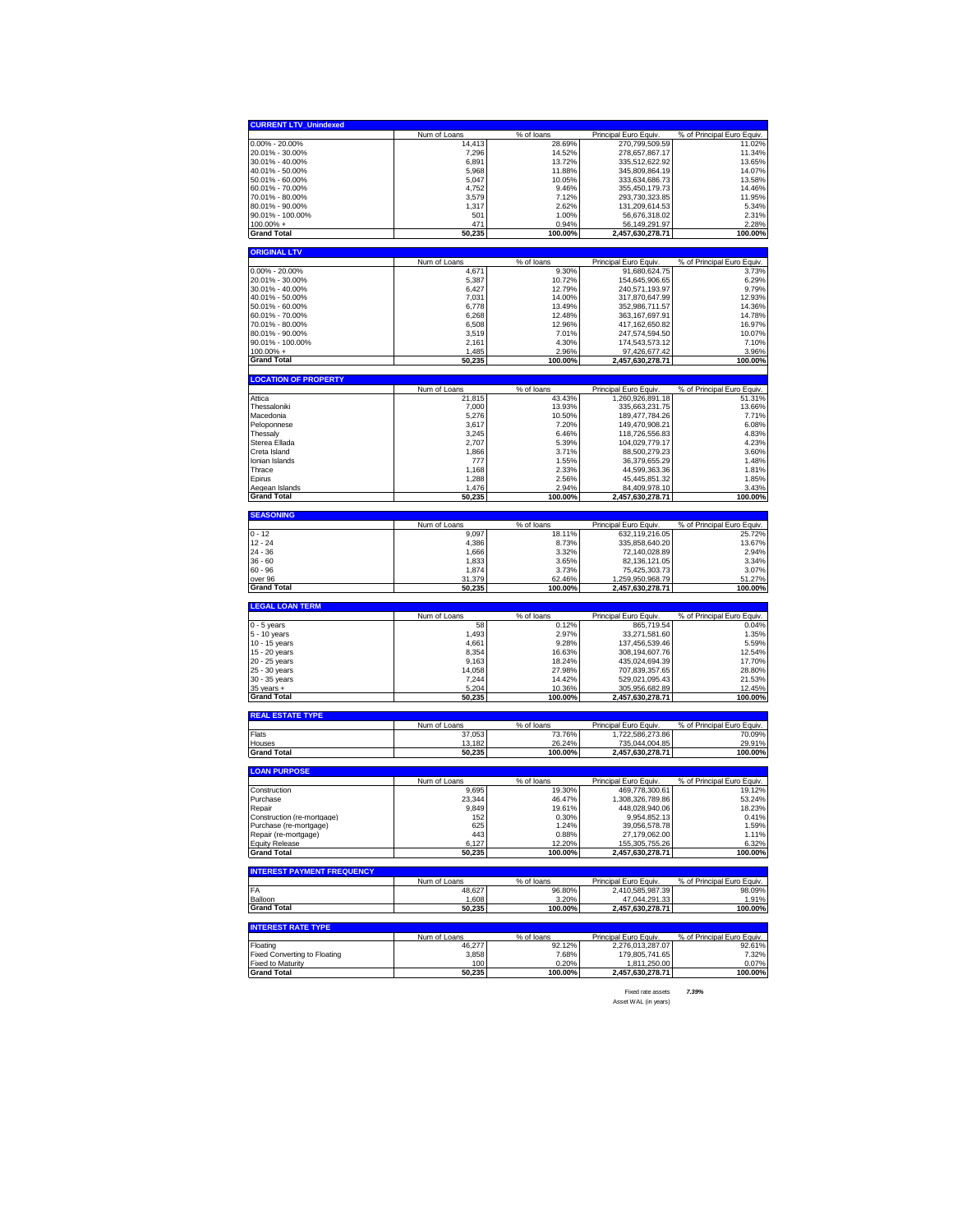| <b>CURRENT LTV_Unindexed</b>                                                                                                                                                                                                                                                                             |                        |                      |                                           |                                      |
|----------------------------------------------------------------------------------------------------------------------------------------------------------------------------------------------------------------------------------------------------------------------------------------------------------|------------------------|----------------------|-------------------------------------------|--------------------------------------|
|                                                                                                                                                                                                                                                                                                          | Num of Loans           | % of loans           | Principal Euro Equiv.                     | % of Principal Euro Equiv.           |
| $0.00\% - 20.00\%$                                                                                                                                                                                                                                                                                       | 14,413                 | 28.69%               | 270,799,509.59                            | 11.02%                               |
|                                                                                                                                                                                                                                                                                                          |                        |                      |                                           |                                      |
| 20.01% - 30.00%                                                                                                                                                                                                                                                                                          | 7,296                  | 14.52%               | 278,657,867.17                            | 11.34%<br>13.65%                     |
| 30.01% - 40.00%                                                                                                                                                                                                                                                                                          | 6,891                  | 13.72%               | 335,512,622.92                            |                                      |
| 40.01% - 50.00%                                                                                                                                                                                                                                                                                          | 5,968                  | 11.88%               | 345,809,864.19                            | 14.07%                               |
| 50.01% - 60.00%                                                                                                                                                                                                                                                                                          | 5,047                  | 10.05%               | 333,634,686.73                            | 13.58%                               |
| 60.01% - 70.00%                                                                                                                                                                                                                                                                                          | 4,752                  | 9.46%                | 355,450,179.73                            | 14.46%                               |
| 70.01% - 80.00%                                                                                                                                                                                                                                                                                          | 3,579                  | 7.12%                | 293,730,323.85                            | 11.95%                               |
| 80.01% - 90.00%                                                                                                                                                                                                                                                                                          | 1,317                  | 2.62%                | 131.209.614.53                            | 5.34%                                |
| 90.01% - 100.00%                                                                                                                                                                                                                                                                                         | 501                    | 1.00%                | 56,676,318.02                             | 2.31%                                |
| 100.00% +                                                                                                                                                                                                                                                                                                | 471                    | 0.94%                | 56,149,291.97                             | 2.28%                                |
| <b>Grand Total</b>                                                                                                                                                                                                                                                                                       | 50,235                 | 100.00%              | 2,457,630,278.71                          | 100.00%                              |
|                                                                                                                                                                                                                                                                                                          |                        |                      |                                           |                                      |
| <b>ORIGINAL LTV</b>                                                                                                                                                                                                                                                                                      |                        |                      |                                           |                                      |
|                                                                                                                                                                                                                                                                                                          | Num of Loans           | % of loans           | Principal Euro Equiv.                     | % of Principal Euro Equiv.           |
| $0.00\% - 20.00\%$                                                                                                                                                                                                                                                                                       | 4,671                  | 9.30%                | 91,680,624.75                             | 3.73%                                |
| 20.01% - 30.00%                                                                                                                                                                                                                                                                                          | 5,387                  | 10.72%               | 154,645,906.65                            | 6.29%                                |
| 30.01% - 40.00%                                                                                                                                                                                                                                                                                          | 6,427                  | 12.79%               | 240,571,193.97                            | 9.79%                                |
| 40.01% - 50.00%                                                                                                                                                                                                                                                                                          | 7,031                  | 14.00%               | 317,870,647.99                            | 12.93%                               |
| 50.01% - 60.00%                                                                                                                                                                                                                                                                                          | 6,778                  | 13.49%               | 352,986,711.57                            | 14.36%                               |
| 60.01% - 70.00%                                                                                                                                                                                                                                                                                          | 6,268                  | 12.48%               | 363,167,697.91                            | 14.78%                               |
| 70.01% - 80.00%                                                                                                                                                                                                                                                                                          | 6,508                  | 12.96%               | 417,162,650.82                            | 16.97%                               |
|                                                                                                                                                                                                                                                                                                          |                        |                      |                                           |                                      |
| 80.01% - 90.00%                                                                                                                                                                                                                                                                                          | 3,519                  | 7.01%                | 247,574,594.50                            | 10.07%                               |
| 90.01% - 100.00%                                                                                                                                                                                                                                                                                         | 2.161                  | 4.30%                | 174,543,573.12                            | 7.10%                                |
| $100.00\% +$                                                                                                                                                                                                                                                                                             | 1,485                  | 2.96%                | 97,426,677.42                             | 3.96%                                |
| <b>Grand Total</b>                                                                                                                                                                                                                                                                                       | 50,235                 | 100.00%              | 2,457,630,278.71                          | 100.00%                              |
|                                                                                                                                                                                                                                                                                                          |                        |                      |                                           |                                      |
| <b>LOCATION OF PROPERTY</b>                                                                                                                                                                                                                                                                              |                        |                      |                                           |                                      |
| Attica                                                                                                                                                                                                                                                                                                   | Num of Loans<br>21,815 | % of loans<br>43.43% | Principal Euro Equiv<br>1,260,926,891.18  | % of Principal Euro Equiv.<br>51.31% |
| Thessaloniki                                                                                                                                                                                                                                                                                             | 7,000                  | 13.93%               | 335,663,231.75                            | 13.66%                               |
|                                                                                                                                                                                                                                                                                                          |                        |                      |                                           |                                      |
| Macedonia                                                                                                                                                                                                                                                                                                | 5,276                  | 10.50%               | 189,477,784.26                            | 7.71%                                |
| Peloponnese                                                                                                                                                                                                                                                                                              | 3,617                  | 7.20%                | 149,470,908.21                            | 6.08%                                |
| Thessalv                                                                                                                                                                                                                                                                                                 | 3,245                  | 6.46%                | 118,726,556.83                            | 4.83%                                |
| Sterea Ellada                                                                                                                                                                                                                                                                                            | 2.707                  | 5.39%                | 104,029,779.17                            | 4.23%                                |
| Creta Island                                                                                                                                                                                                                                                                                             | 1,866                  | 3.71%                | 88,500,279.23                             | 3.60%                                |
| Ionian Islands                                                                                                                                                                                                                                                                                           | 777                    | 1.55%                | 36,379,655.29                             | 1.48%                                |
| Thrace                                                                                                                                                                                                                                                                                                   | 1,168                  | 2.33%                | 44,599,363.36                             | 1.81%                                |
| Epirus                                                                                                                                                                                                                                                                                                   | 1,288                  | 2.56%                | 45,445,851.32                             | 1.85%                                |
| Aeqean Islands                                                                                                                                                                                                                                                                                           | 1,476                  | 2.94%                | 84,409,978.10                             | 3.43%                                |
| <b>Grand Total</b>                                                                                                                                                                                                                                                                                       | 50,235                 | 100.00%              | 2,457,630,278.71                          | 100.00%                              |
|                                                                                                                                                                                                                                                                                                          |                        |                      |                                           |                                      |
| <b>SEASONING</b>                                                                                                                                                                                                                                                                                         |                        |                      |                                           |                                      |
|                                                                                                                                                                                                                                                                                                          | Num of Loans           | % of loans           | Principal Euro Equiv.                     | % of Principal Euro Equiv.           |
| $0 - 12$                                                                                                                                                                                                                                                                                                 | 9,097                  | 18.11%               | 632,119,216.05                            | 25.72%                               |
| $12 - 24$                                                                                                                                                                                                                                                                                                | 4,386                  | 8.73%                | 335,858,640.20                            | 13.67%                               |
| 24 - 36                                                                                                                                                                                                                                                                                                  | 1,666                  |                      |                                           | 2.94%                                |
|                                                                                                                                                                                                                                                                                                          |                        | 3.32%                | 72,140,028.89                             |                                      |
|                                                                                                                                                                                                                                                                                                          | 1,833                  | 3.65%                | 82,136,121.05                             | 3.34%                                |
|                                                                                                                                                                                                                                                                                                          |                        |                      |                                           |                                      |
|                                                                                                                                                                                                                                                                                                          | 1,874                  | 3.73%                | 75,425,303.73                             | 3.07%                                |
|                                                                                                                                                                                                                                                                                                          | 31,379                 | 62.46%               | 1,259,950,968.79                          | 51.27%                               |
|                                                                                                                                                                                                                                                                                                          | 50,235                 | 100.00%              | 2,457,630,278.71                          | 100.00%                              |
|                                                                                                                                                                                                                                                                                                          |                        |                      |                                           |                                      |
|                                                                                                                                                                                                                                                                                                          | Num of Loans           | % of loans           | Principal Euro Equiv.                     | % of Principal Euro Equiv.           |
|                                                                                                                                                                                                                                                                                                          | 58                     | 0.12%                | 865,719.54                                | 0.04%                                |
|                                                                                                                                                                                                                                                                                                          | 1,493                  | 2.97%                | 33,271,581.60                             | 1.35%                                |
|                                                                                                                                                                                                                                                                                                          | 4,661                  | 9.28%                | 137.456.539.46                            | 5.59%                                |
|                                                                                                                                                                                                                                                                                                          | 8,354                  | 16.63%               | 308,194,607.76                            | 12.54%                               |
|                                                                                                                                                                                                                                                                                                          | 9,163                  | 18.24%               | 435,024,694.39                            | 17.70%                               |
|                                                                                                                                                                                                                                                                                                          | 14,058                 | 27.98%               | 707,839,357.65                            | 28.80%                               |
|                                                                                                                                                                                                                                                                                                          |                        |                      |                                           |                                      |
|                                                                                                                                                                                                                                                                                                          | 7,244                  | 14.42%               | 529,021,095.43                            | 21.53%                               |
|                                                                                                                                                                                                                                                                                                          | 5,204<br>50,235        | 10.36%<br>100.00%    | <u>305,956,682.89</u><br>2,457,630,278.71 | 12.45%<br>100.00%                    |
|                                                                                                                                                                                                                                                                                                          |                        |                      |                                           |                                      |
|                                                                                                                                                                                                                                                                                                          |                        |                      |                                           |                                      |
|                                                                                                                                                                                                                                                                                                          | Num of Loans           | % of loans           | Principal Euro Equiv                      | % of Principal Euro Equiv.           |
|                                                                                                                                                                                                                                                                                                          | 37,053                 | 73.76%               | 1.722.586.273.86                          | 70.09%                               |
|                                                                                                                                                                                                                                                                                                          | 13.182                 | 26.24%               | 735,044,004.85                            | 29.91%                               |
| $36 - 60$<br>60 - 96<br>over 96<br>Grand Total<br><b>LEGAL LOAN TERM</b><br>0 - 5 years<br>5 - 10 years<br>10 - 15 years<br>15 - 20 years<br>20 - 25 years<br>25 - 30 years<br>30 - 35 years<br>$35$ years $+$<br><b>Grand Total</b><br><b>REAL ESTATE TYPE</b><br>Flats<br>Houses<br><b>Grand Total</b> | 50,235                 | 100.00%              | 2,457,630,278.71                          | 100.00%                              |
|                                                                                                                                                                                                                                                                                                          |                        |                      |                                           |                                      |
|                                                                                                                                                                                                                                                                                                          | Num of Loans           | % of loans           | Principal Euro Equiv                      | % of Principal Euro Equiv.           |
|                                                                                                                                                                                                                                                                                                          | 9,695                  | 19.30%               | 469,778,300.61                            | 19.12%                               |
|                                                                                                                                                                                                                                                                                                          | 23,344                 | 46.47%               | 1,308,326,789.86                          | 53.24%                               |
|                                                                                                                                                                                                                                                                                                          | 9,849                  | 19.61%               | 448,028,940.06                            | 18.23%                               |
|                                                                                                                                                                                                                                                                                                          | 152                    | 0.30%                | 9,954,852.13                              | 0.41%                                |
|                                                                                                                                                                                                                                                                                                          |                        | 1.24%                |                                           |                                      |
|                                                                                                                                                                                                                                                                                                          | 625<br>443             |                      | 39,056,578.78                             | 1.59%                                |
|                                                                                                                                                                                                                                                                                                          |                        | 0.88%                | 27,179,062.00<br>155.305.755.26           | 1.11%                                |
|                                                                                                                                                                                                                                                                                                          | 6,127<br>50,235        | 12.20%<br>100.00%    | 2,457,630,278.71                          | 6.32%<br>100.00%                     |
|                                                                                                                                                                                                                                                                                                          |                        |                      |                                           |                                      |
|                                                                                                                                                                                                                                                                                                          |                        |                      |                                           |                                      |
|                                                                                                                                                                                                                                                                                                          | Num of Loans           | % of loans           | Principal Euro Equiv.                     | % of Principal Euro Equiv.           |
|                                                                                                                                                                                                                                                                                                          | 48,627                 | 96.80%               | 2.410.585.987.39                          | 98.09%                               |
|                                                                                                                                                                                                                                                                                                          | 1,608                  | 3.20%                | 47,044,291.33                             | 1.91%                                |
|                                                                                                                                                                                                                                                                                                          | 50,235                 | 100.00%              | 2,457,630,278.71                          | 100.00%                              |
|                                                                                                                                                                                                                                                                                                          |                        |                      |                                           |                                      |
|                                                                                                                                                                                                                                                                                                          |                        |                      |                                           |                                      |
| <b>LOAN PURPOSE</b><br>Construction<br>Purchase<br>Repair<br>Construction (re-mortgage)<br>Purchase (re-mortgage)<br>Repair (re-mortgage)<br><b>Equity Release</b><br><b>Grand Total</b><br><b>INTEREST PAYMENT FREQUENCY</b><br>FA<br>Balloon<br>Grand Total<br><b>INTEREST RATE TYPE</b>               | Num of Loans           | $%$ of loans         | Principal Euro Equiv.                     | % of Principal Euro Equiv.           |
| Floating                                                                                                                                                                                                                                                                                                 | 46,277                 | 92.12%               | 2,276,013,287.07                          | 92.61%                               |
| Fixed Converting to Floating                                                                                                                                                                                                                                                                             | 3,858                  | 7.68%                | 179.805.741.65                            | 7.32%                                |
| Fixed to Maturity<br><b>Grand Total</b>                                                                                                                                                                                                                                                                  | 100<br>50,235          | 0.20%<br>100.00%     | 1,811,250.00<br>2,457,630,278.71          | 0.07%<br>100.00%                     |

Fixed rate assets *7.39%* Asset WAL (in years)